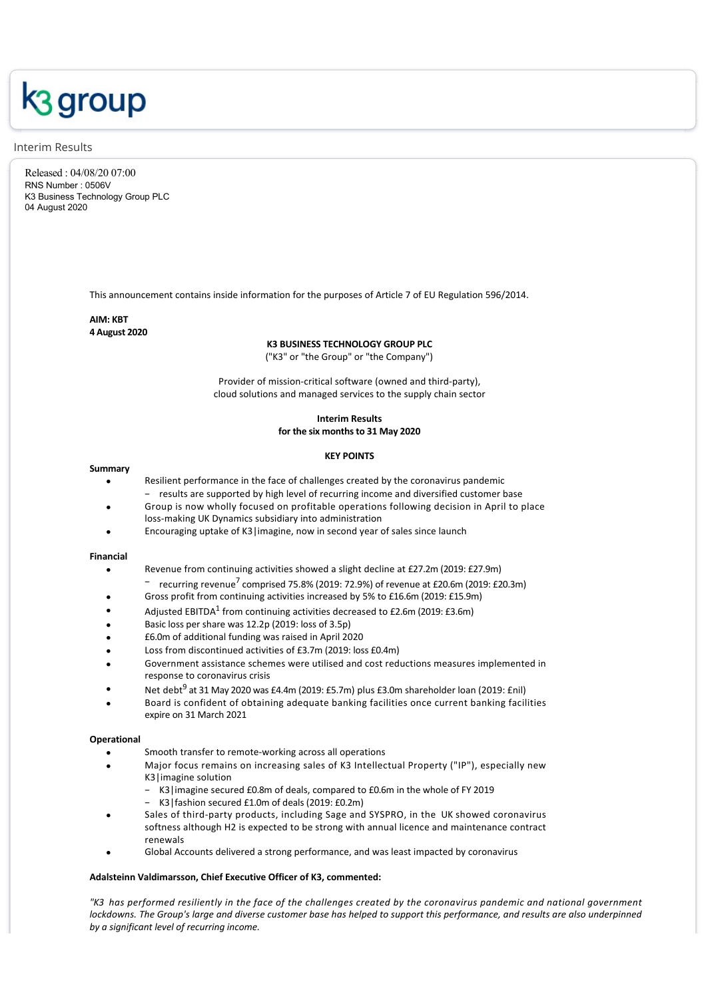# k<sub>3</sub> group

#### Interim Results

Released : 04/08/20 07:00 RNS Number : 0506V K3 Business Technology Group PLC 04 August 2020

This announcement contains inside information for the purposes of Article 7 of EU Regulation 596/2014.

# **AIM: KBT 4 August 2020**

# **K3 BUSINESS TECHNOLOGY GROUP PLC**

("K3" or "the Group" or "the Company")

Provider of mission‐critical software (owned and third‐party), cloud solutions and managed services to the supply chain sector

# **Interim Results for the six months to 31 May 2020**

#### **KEY POINTS**

#### **Summary**

- Resilient performance in the face of challenges created by the coronavirus pandemic
- − results are supported by high level of recurring income and diversified customer base · Group is now wholly focused on profitable operations following decision in April to place
- loss‐making UK Dynamics subsidiary into administration
- Encouraging uptake of K3|imagine, now in second year of sales since launch

#### **Financial**

- Revenue from continuing activities showed a slight decline at £27.2m (2019: £27.9m)
	- <sup>−</sup> recurring revenue<sup>7</sup> comprised 75.8% (2019: 72.9%) of revenue at £20.6m (2019: £20.3m)
- Gross profit from continuing activities increased by 5% to £16.6m (2019: £15.9m)
- Adjusted EBITDA<sup>1</sup> from continuing activities decreased to £2.6m (2019: £3.6m)
- Basic loss per share was 12.2p (2019: loss of 3.5p)
- · £6.0m of additional funding was raised in April 2020
- Loss from discontinued activities of £3.7m (2019: loss £0.4m)
- Government assistance schemes were utilised and cost reductions measures implemented in response to coronavirus crisis
- Net debt<sup>9</sup> at 31 May 2020 was £4.4m (2019: £5.7m) plus £3.0m shareholder loan (2019: £nil)
- · Board is confident of obtaining adequate banking facilities once current banking facilities expire on 31 March 2021

#### **Operational**

- Smooth transfer to remote-working across all operations
	- · Major focus remains on increasing sales of K3 Intellectual Property ("IP"), especially new K3|imagine solution
		- K3 | imagine secured £0.8m of deals, compared to £0.6m in the whole of FY 2019
		- − K3|fashion secured £1.0m of deals (2019: £0.2m)
- Sales of third-party products, including Sage and SYSPRO, in the UK showed coronavirus softness although H2 is expected to be strong with annual licence and maintenance contract renewals
- Global Accounts delivered a strong performance, and was least impacted by coronavirus

#### **Adalsteinn Valdimarsson, Chief Executive Officer of K3, commented:**

*"K3 has performed resiliently in the face of the challenges created by the coronavirus pandemic and national government lockdowns. The Group's large and diverse customer base has helped to support this performance, and results are also underpinned by a significant level of recurring income.*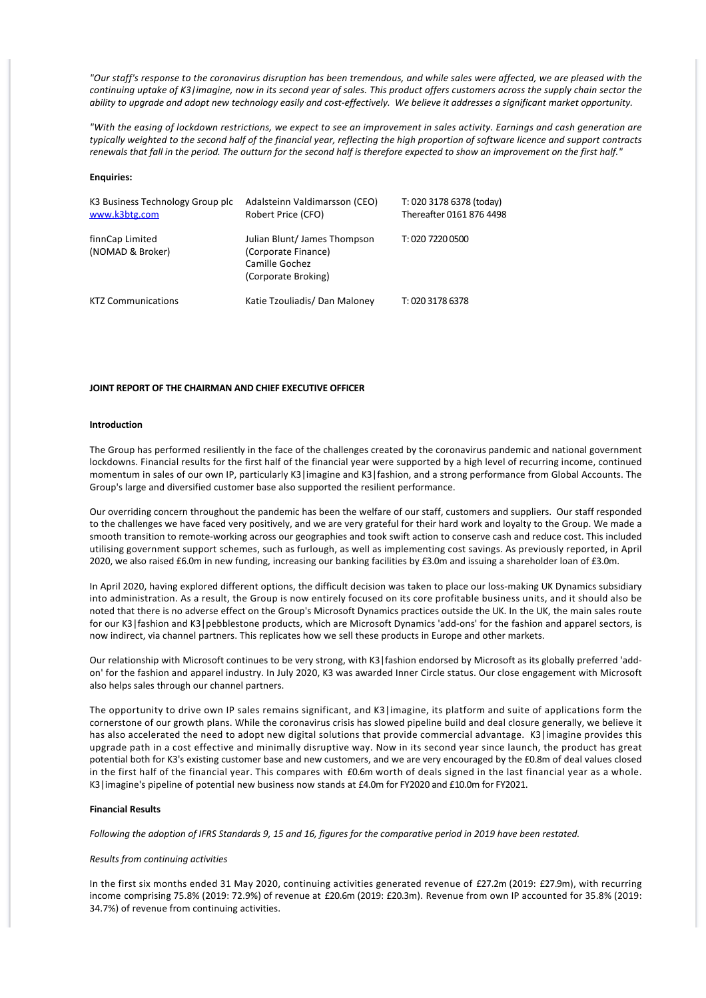*"Our staff's response to the coronavirus disruption has been tremendous, and while sales were affected, we are pleased with the continuing uptake of K3|imagine, now in its second year of sales. This product offers customers across the supply chain sector the ability to upgrade and adopt new technology easily and cost‐effectively. We believe it addresses a significant market opportunity.*

*"With the easing of lockdown restrictions, we expect to see an improvement in sales activity. Earnings and cash generation are typically weighted to the second half of the financial year, reflecting the high proportion of software licence and support contracts renewals that fall in the period. The outturn for the second half is therefore expected to show an improvement on the first half."*

#### **Enquiries:**

| K3 Business Technology Group plc<br>www.k3btg.com | Adalsteinn Valdimarsson (CEO)<br>Robert Price (CFO)                                         | T: 020 3178 6378 (today)<br>Thereafter 0161 876 4498 |
|---------------------------------------------------|---------------------------------------------------------------------------------------------|------------------------------------------------------|
| finnCap Limited<br>(NOMAD & Broker)               | Julian Blunt/James Thompson<br>(Corporate Finance)<br>Camille Gochez<br>(Corporate Broking) | T: 020 7220 0500                                     |
| <b>KTZ Communications</b>                         | Katie Tzouliadis/ Dan Maloney                                                               | T: 020 3178 6378                                     |

#### **JOINT REPORT OF THE CHAIRMAN AND CHIEF EXECUTIVE OFFICER**

#### **Introduction**

The Group has performed resiliently in the face of the challenges created by the coronavirus pandemic and national government lockdowns. Financial results for the first half of the financial year were supported by a high level of recurring income, continued momentum in sales of our own IP, particularly K3|imagine and K3|fashion, and a strong performance from Global Accounts. The Group's large and diversified customer base also supported the resilient performance.

Our overriding concern throughout the pandemic has been the welfare of our staff, customers and suppliers. Our staff responded to the challenges we have faced very positively, and we are very grateful for their hard work and loyalty to the Group. We made a smooth transition to remote‐working across our geographies and took swift action to conserve cash and reduce cost. This included utilising government support schemes, such as furlough, as well as implementing cost savings. As previously reported, in April 2020, we also raised £6.0m in new funding, increasing our banking facilities by £3.0m and issuing a shareholder loan of £3.0m.

In April 2020, having explored different options, the difficult decision was taken to place our loss‐making UK Dynamics subsidiary into administration. As a result, the Group is now entirely focused on its core profitable business units, and it should also be noted that there is no adverse effect on the Group's Microsoft Dynamics practices outside the UK. In the UK, the main sales route for our K3|fashion and K3|pebblestone products, which are Microsoft Dynamics 'add‐ons' for the fashion and apparel sectors, is now indirect, via channel partners. This replicates how we sell these products in Europe and other markets.

Our relationship with Microsoft continues to be very strong, with K3|fashion endorsed by Microsoft as its globally preferred 'addon' for the fashion and apparel industry. In July 2020, K3 was awarded Inner Circle status. Our close engagement with Microsoft also helps sales through our channel partners.

The opportunity to drive own IP sales remains significant, and K3|imagine, its platform and suite of applications form the cornerstone of our growth plans. While the coronavirus crisis has slowed pipeline build and deal closure generally, we believe it has also accelerated the need to adopt new digital solutions that provide commercial advantage. K3|imagine provides this upgrade path in a cost effective and minimally disruptive way. Now in its second year since launch, the product has great potential both for K3's existing customer base and new customers, and we are very encouraged by the £0.8m of deal values closed in the first half of the financial year. This compares with £0.6m worth of deals signed in the last financial year as a whole. K3|imagine's pipeline of potential new business now stands at £4.0m for FY2020 and £10.0m for FY2021.

#### **Financial Results**

*Following the adoption of IFRS Standards 9, 15 and 16, figures for the comparative period in 2019 have been restated.*

#### *Results from continuing activities*

In the first six months ended 31 May 2020, continuing activities generated revenue of £27.2m (2019: £27.9m), with recurring income comprising 75.8% (2019: 72.9%) of revenue at £20.6m (2019: £20.3m). Revenue from own IP accounted for 35.8% (2019: 34.7%) of revenue from continuing activities.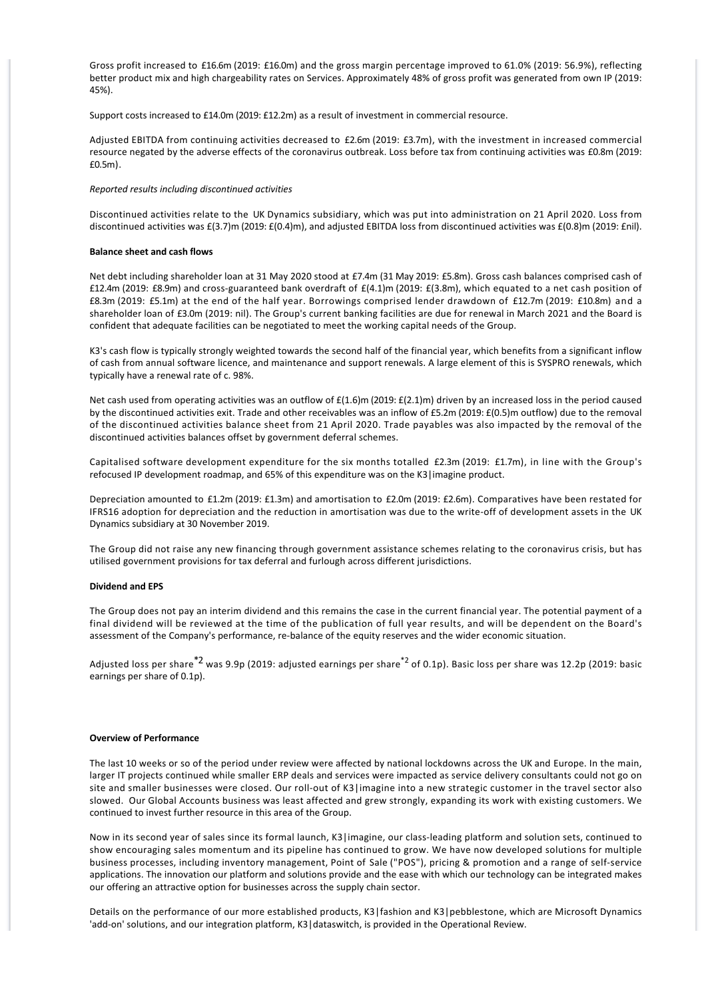Gross profit increased to £16.6m (2019: £16.0m) and the gross margin percentage improved to 61.0% (2019: 56.9%), reflecting better product mix and high chargeability rates on Services. Approximately 48% of gross profit was generated from own IP (2019: 45%).

Support costs increased to £14.0m (2019: £12.2m) as a result of investment in commercial resource.

Adjusted EBITDA from continuing activities decreased to £2.6m (2019: £3.7m), with the investment in increased commercial resource negated by the adverse effects of the coronavirus outbreak. Loss before tax from continuing activities was £0.8m (2019: £0.5m).

#### *Reported results including discontinued activities*

Discontinued activities relate to the UK Dynamics subsidiary, which was put into administration on 21 April 2020. Loss from discontinued activities was £(3.7)m (2019: £(0.4)m), and adjusted EBITDA loss from discontinued activities was £(0.8)m (2019: £nil).

#### **Balance sheet and cash flows**

Net debt including shareholder loan at 31 May 2020 stood at £7.4m (31 May 2019: £5.8m). Gross cash balances comprised cash of £12.4m (2019: £8.9m) and cross‐guaranteed bank overdraft of £(4.1)m (2019: £(3.8m), which equated to a net cash position of £8.3m (2019: £5.1m) at the end of the half year. Borrowings comprised lender drawdown of £12.7m (2019: £10.8m) and a shareholder loan of £3.0m (2019: nil). The Group's current banking facilities are due for renewal in March 2021 and the Board is confident that adequate facilities can be negotiated to meet the working capital needs of the Group.

K3's cash flow is typically strongly weighted towards the second half of the financial year, which benefits from a significant inflow of cash from annual software licence, and maintenance and support renewals. A large element of this is SYSPRO renewals, which typically have a renewal rate of c. 98%.

Net cash used from operating activities was an outflow of £(1.6)m (2019: £(2.1)m) driven by an increased loss in the period caused by the discontinued activities exit. Trade and other receivables was an inflow of £5.2m (2019: £(0.5)m outflow) due to the removal of the discontinued activities balance sheet from 21 April 2020. Trade payables was also impacted by the removal of the discontinued activities balances offset by government deferral schemes.

Capitalised software development expenditure for the six months totalled £2.3m (2019: £1.7m), in line with the Group's refocused IP development roadmap, and 65% of this expenditure was on the K3|imagine product.

Depreciation amounted to £1.2m (2019: £1.3m) and amortisation to £2.0m (2019: £2.6m). Comparatives have been restated for IFRS16 adoption for depreciation and the reduction in amortisation was due to the write‐off of development assets in the UK Dynamics subsidiary at 30 November 2019.

The Group did not raise any new financing through government assistance schemes relating to the coronavirus crisis, but has utilised government provisions for tax deferral and furlough across different jurisdictions.

#### **Dividend and EPS**

The Group does not pay an interim dividend and this remains the case in the current financial year. The potential payment of a final dividend will be reviewed at the time of the publication of full year results, and will be dependent on the Board's assessment of the Company's performance, re‐balance of the equity reserves and the wider economic situation.

Adjusted loss per share<sup>\*2</sup> was 9.9p (2019: adjusted earnings per share<sup>\*2</sup> of 0.1p). Basic loss per share was 12.2p (2019: basic earnings per share of 0.1p).

#### **Overview of Performance**

The last 10 weeks or so of the period under review were affected by national lockdowns across the UK and Europe. In the main, larger IT projects continued while smaller ERP deals and services were impacted as service delivery consultants could not go on site and smaller businesses were closed. Our roll-out of K3|imagine into a new strategic customer in the travel sector also slowed. Our Global Accounts business was least affected and grew strongly, expanding its work with existing customers. We continued to invest further resource in this area of the Group.

Now in its second year of sales since its formal launch, K3|imagine, our class‐leading platform and solution sets, continued to show encouraging sales momentum and its pipeline has continued to grow. We have now developed solutions for multiple business processes, including inventory management, Point of Sale ("POS"), pricing & promotion and a range of self‐service applications. The innovation our platform and solutions provide and the ease with which our technology can be integrated makes our offering an attractive option for businesses across the supply chain sector.

Details on the performance of our more established products, K3|fashion and K3|pebblestone, which are Microsoft Dynamics 'add‐on' solutions, and our integration platform, K3|dataswitch, is provided in the Operational Review.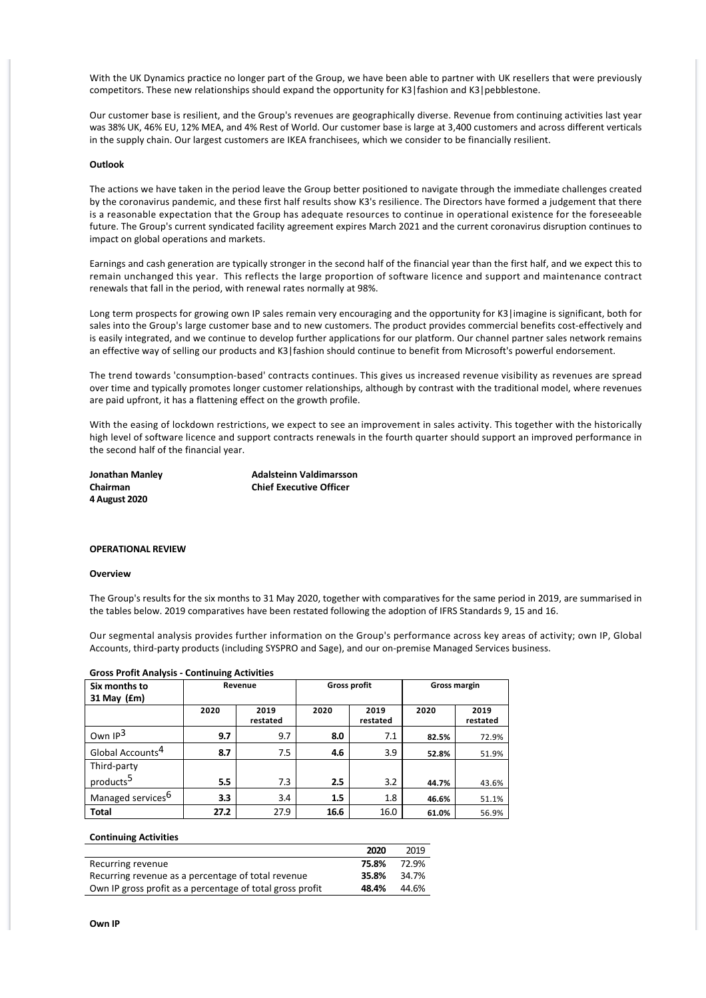With the UK Dynamics practice no longer part of the Group, we have been able to partner with UK resellers that were previously competitors. These new relationships should expand the opportunity for K3|fashion and K3|pebblestone.

Our customer base is resilient, and the Group's revenues are geographically diverse. Revenue from continuing activities last year was 38% UK, 46% EU, 12% MEA, and 4% Rest of World. Our customer base is large at 3,400 customers and across different verticals in the supply chain. Our largest customers are IKEA franchisees, which we consider to be financially resilient.

#### **Outlook**

The actions we have taken in the period leave the Group better positioned to navigate through the immediate challenges created by the coronavirus pandemic, and these first half results show K3's resilience. The Directors have formed a judgement that there is a reasonable expectation that the Group has adequate resources to continue in operational existence for the foreseeable future. The Group's current syndicated facility agreement expires March 2021 and the current coronavirus disruption continues to impact on global operations and markets.

Earnings and cash generation are typically stronger in the second half of the financial year than the first half, and we expect this to remain unchanged this year. This reflects the large proportion of software licence and support and maintenance contract renewals that fall in the period, with renewal rates normally at 98%.

Long term prospects for growing own IP sales remain very encouraging and the opportunity for K3 | imagine is significant, both for sales into the Group's large customer base and to new customers. The product provides commercial benefits cost-effectively and is easily integrated, and we continue to develop further applications for our platform. Our channel partner sales network remains an effective way of selling our products and K3|fashion should continue to benefit from Microsoft's powerful endorsement.

The trend towards 'consumption‐based' contracts continues. This gives us increased revenue visibility as revenues are spread over time and typically promotes longer customer relationships, although by contrast with the traditional model, where revenues are paid upfront, it has a flattening effect on the growth profile.

With the easing of lockdown restrictions, we expect to see an improvement in sales activity. This together with the historically high level of software licence and support contracts renewals in the fourth quarter should support an improved performance in the second half of the financial year.

**4 August 2020**

**Jonathan Manley Adalsteinn Valdimarsson Chairman Chief Executive Officer**

#### **OPERATIONAL REVIEW**

#### **Overview**

The Group's results for the six months to 31 May 2020, together with comparatives for the same period in 2019, are summarised in the tables below. 2019 comparatives have been restated following the adoption of IFRS Standards 9, 15 and 16.

Our segmental analysis provides further information on the Group's performance across key areas of activity; own IP, Global Accounts, third‐party products (including SYSPRO and Sage), and our on‐premise Managed Services business.

| <u>UIUSS FIUIIL AIIAIVSIS - CUIILIIIUIIIR ACLIVILIES</u> |      |          |                     |          |              |          |  |  |
|----------------------------------------------------------|------|----------|---------------------|----------|--------------|----------|--|--|
| Six months to                                            |      | Revenue  | <b>Gross profit</b> |          | Gross margin |          |  |  |
| $31$ May $(fm)$                                          |      |          |                     |          |              |          |  |  |
|                                                          |      |          |                     |          |              |          |  |  |
|                                                          | 2020 | 2019     | 2020                | 2019     | 2020         | 2019     |  |  |
|                                                          |      | restated |                     | restated |              | restated |  |  |
| Own $IP3$                                                |      |          |                     |          |              |          |  |  |
|                                                          | 9.7  | 9.7      | 8.0                 | 7.1      | 82.5%        | 72.9%    |  |  |
| Global Accounts <sup>4</sup>                             | 8.7  | 7.5      | 4.6                 | 3.9      |              |          |  |  |
|                                                          |      |          |                     |          | 52.8%        | 51.9%    |  |  |
| Third-party                                              |      |          |                     |          |              |          |  |  |
| products <sup>5</sup>                                    |      |          |                     |          |              |          |  |  |
|                                                          | 5.5  | 7.3      | 2.5                 | 3.2      | 44.7%        | 43.6%    |  |  |
| Managed services <sup>6</sup>                            | 3.3  | 3.4      | 1.5                 | 1.8      |              |          |  |  |
|                                                          |      |          |                     |          | 46.6%        | 51.1%    |  |  |
| <b>Total</b>                                             | 27.2 | 27.9     | 16.6                | 16.0     | 61.0%        | 56.9%    |  |  |

### **Gross Profit Analysis Continuing Activities**

#### **Continuing Activities**

|                                                           | 2020  | 2019  |
|-----------------------------------------------------------|-------|-------|
| Recurring revenue                                         | 75.8% | 72.9% |
| Recurring revenue as a percentage of total revenue        | 35.8% | 34.7% |
| Own IP gross profit as a percentage of total gross profit | 48.4% | 44.6% |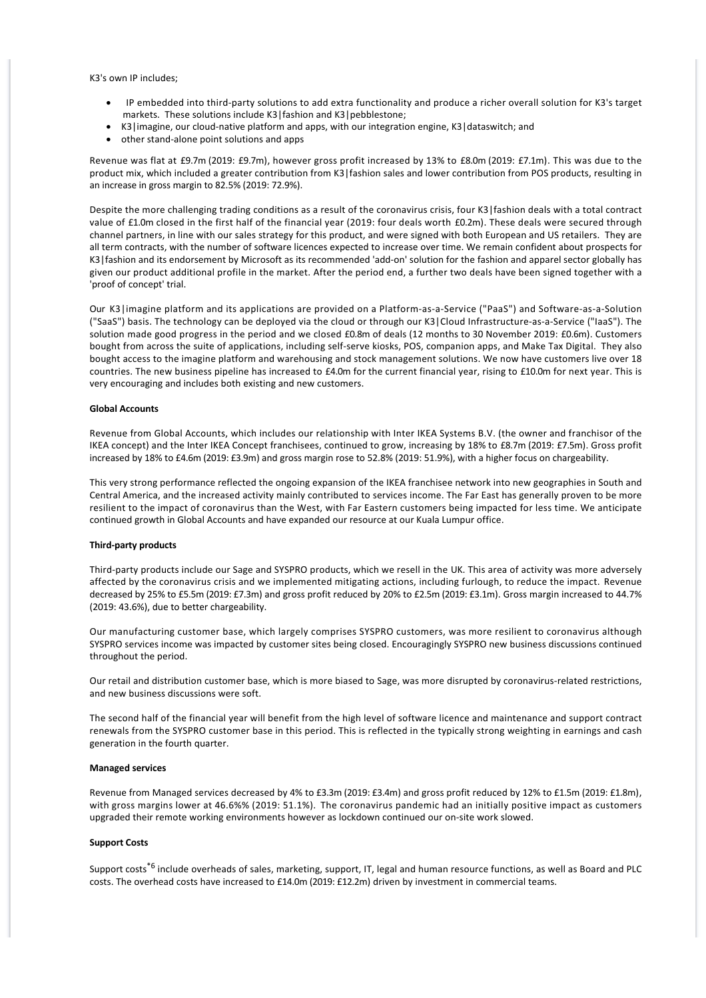K3's own IP includes;

- · IP embedded into third‐party solutions to add extra functionality and produce a richer overall solution for K3's target markets. These solutions include K3|fashion and K3|pebblestone;
- · K3|imagine, our cloud‐native platform and apps, with our integration engine, K3|dataswitch; and
- other stand-alone point solutions and apps

Revenue was flat at £9.7m (2019: £9.7m), however gross profit increased by 13% to £8.0m (2019: £7.1m). This was due to the product mix, which included a greater contribution from K3|fashion sales and lower contribution from POS products, resulting in an increase in gross margin to 82.5% (2019: 72.9%).

Despite the more challenging trading conditions as a result of the coronavirus crisis, four K3|fashion deals with a total contract value of £1.0m closed in the first half of the financial year (2019: four deals worth £0.2m). These deals were secured through channel partners, in line with our sales strategy for this product, and were signed with both European and US retailers. They are all term contracts, with the number of software licences expected to increase over time. We remain confident about prospects for K3|fashion and its endorsement by Microsoft as its recommended 'add‐on' solution for the fashion and apparel sector globally has given our product additional profile in the market. After the period end, a further two deals have been signed together with a 'proof of concept' trial.

Our K3|imagine platform and its applications are provided on a Platform‐as‐a‐Service ("PaaS") and Software‐as‐a‐Solution ("SaaS") basis. The technology can be deployed via the cloud or through our K3|Cloud Infrastructure‐as‐a‐Service ("IaaS"). The solution made good progress in the period and we closed £0.8m of deals (12 months to 30 November 2019: £0.6m). Customers bought from across the suite of applications, including self‐serve kiosks, POS, companion apps, and Make Tax Digital. They also bought access to the imagine platform and warehousing and stock management solutions. We now have customers live over 18 countries. The new business pipeline has increased to £4.0m for the current financial year, rising to £10.0m for next year. This is very encouraging and includes both existing and new customers.

#### **Global Accounts**

Revenue from Global Accounts, which includes our relationship with Inter IKEA Systems B.V. (the owner and franchisor of the IKEA concept) and the Inter IKEA Concept franchisees, continued to grow, increasing by 18% to £8.7m (2019: £7.5m). Gross profit increased by 18% to £4.6m (2019: £3.9m) and gross margin rose to 52.8% (2019: 51.9%), with a higher focus on chargeability.

This very strong performance reflected the ongoing expansion of the IKEA franchisee network into new geographies in South and Central America, and the increased activity mainly contributed to services income. The Far East has generally proven to be more resilient to the impact of coronavirus than the West, with Far Eastern customers being impacted for less time. We anticipate continued growth in Global Accounts and have expanded our resource at our Kuala Lumpur office.

#### **Third‐party products**

Third-party products include our Sage and SYSPRO products, which we resell in the UK. This area of activity was more adversely affected by the coronavirus crisis and we implemented mitigating actions, including furlough, to reduce the impact. Revenue decreased by 25% to £5.5m (2019: £7.3m) and gross profit reduced by 20% to £2.5m (2019: £3.1m). Gross margin increased to 44.7% (2019: 43.6%), due to better chargeability.

Our manufacturing customer base, which largely comprises SYSPRO customers, was more resilient to coronavirus although SYSPRO services income was impacted by customer sites being closed. Encouragingly SYSPRO new business discussions continued throughout the period.

Our retail and distribution customer base, which is more biased to Sage, was more disrupted by coronavirus‐related restrictions, and new business discussions were soft.

The second half of the financial year will benefit from the high level of software licence and maintenance and support contract renewals from the SYSPRO customer base in this period. This is reflected in the typically strong weighting in earnings and cash generation in the fourth quarter.

#### **Managed services**

Revenue from Managed services decreased by 4% to £3.3m (2019: £3.4m) and gross profit reduced by 12% to £1.5m (2019: £1.8m), with gross margins lower at 46.6%% (2019: 51.1%). The coronavirus pandemic had an initially positive impact as customers upgraded their remote working environments however as lockdown continued our on‐site work slowed.

#### **Support Costs**

Support costs<sup>\*6</sup> include overheads of sales, marketing, support, IT, legal and human resource functions, as well as Board and PLC costs. The overhead costs have increased to £14.0m (2019: £12.2m) driven by investment in commercial teams.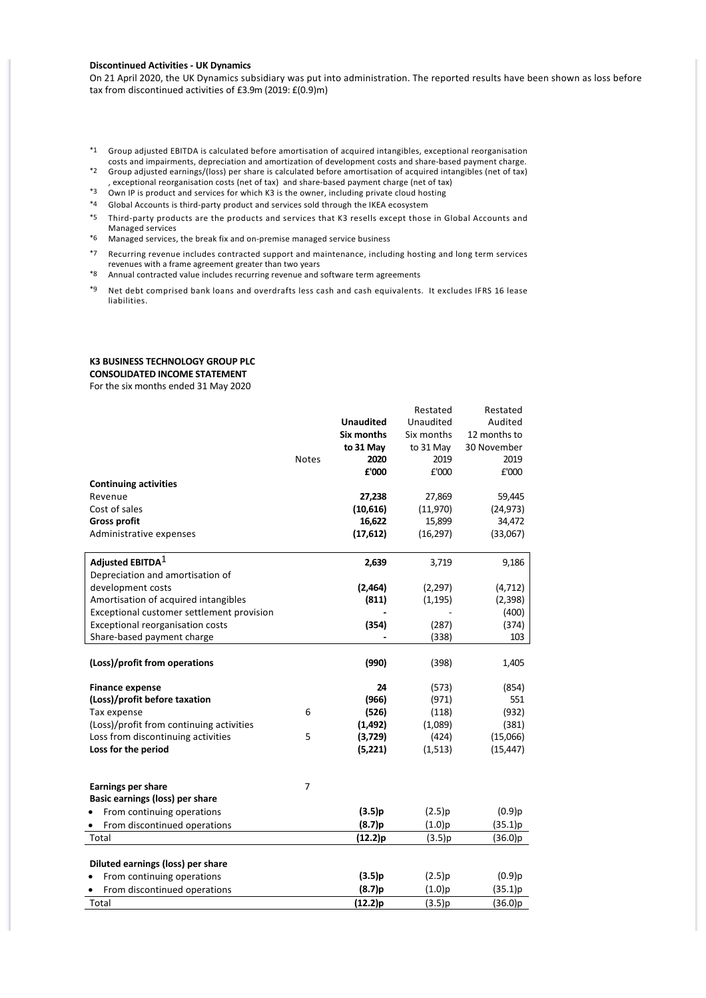#### **Discontinued Activities ‐ UK Dynamics**

On 21 April 2020, the UK Dynamics subsidiary was put into administration. The reported results have been shown as loss before tax from discontinued activities of £3.9m (2019: £(0.9)m)

- \*1 Group adjusted EBITDA is calculated before amortisation of acquired intangibles, exceptional reorganisation costs and impairments, depreciation and amortization of development costs and share‐based payment charge.
- \*2 Group adjusted earnings/(loss) per share is calculated before amortisation of acquired intangibles (net of tax) , exceptional reorganisation costs (net of tax) and share‐based payment charge (net of tax)
- \*3 Own IP is product and services for which K3 is the owner, including private cloud hosting
- \*4 Global Accounts is third‐party product and services sold through the IKEA ecosystem
- \*5 Third‐party products are the products and services that K3 resells except those in Global Accounts and Managed services
- \*6 Managed services, the break fix and on‐premise managed service business
- \*7 Recurring revenue includes contracted support and maintenance, including hosting and long term services revenues with a frame agreement greater than two years
- \*8 Annual contracted value includes recurring revenue and software term agreements
- \*9 Net debt comprised bank loans and overdrafts less cash and cash equivalents. It excludes IFRS 16 lease liabilities.

# **K3 BUSINESS TECHNOLOGY GROUP PLC**

**CONSOLIDATED INCOME STATEMENT**

For the six months ended 31 May 2020

|                                           |                |                  | Restated   | Restated     |
|-------------------------------------------|----------------|------------------|------------|--------------|
|                                           |                | <b>Unaudited</b> | Unaudited  | Audited      |
|                                           |                | Six months       | Six months | 12 months to |
|                                           |                | to 31 May        | to 31 May  | 30 November  |
|                                           | <b>Notes</b>   | 2020             | 2019       | 2019         |
|                                           |                | £'000            | £'000      | £'000        |
| <b>Continuing activities</b>              |                |                  |            |              |
| Revenue                                   |                | 27,238           | 27,869     | 59,445       |
| Cost of sales                             |                | (10, 616)        | (11,970)   | (24, 973)    |
| <b>Gross profit</b>                       |                | 16,622           | 15,899     | 34,472       |
| Administrative expenses                   |                | (17, 612)        | (16, 297)  | (33,067)     |
| Adjusted EBITDA $^1$                      |                | 2,639            | 3,719      | 9,186        |
| Depreciation and amortisation of          |                |                  |            |              |
| development costs                         |                | (2, 464)         | (2, 297)   | (4, 712)     |
| Amortisation of acquired intangibles      |                | (811)            | (1, 195)   | (2,398)      |
| Exceptional customer settlement provision |                |                  |            | (400)        |
| Exceptional reorganisation costs          |                | (354)            | (287)      | (374)        |
| Share-based payment charge                |                |                  | (338)      | 103          |
|                                           |                |                  |            |              |
| (Loss)/profit from operations             |                | (990)            | (398)      | 1,405        |
| <b>Finance expense</b>                    |                | 24               | (573)      | (854)        |
| (Loss)/profit before taxation             |                | (966)            | (971)      | 551          |
| Tax expense                               | 6              | (526)            | (118)      | (932)        |
| (Loss)/profit from continuing activities  |                | (1, 492)         | (1,089)    | (381)        |
| Loss from discontinuing activities        | 5              | (3,729)          | (424)      | (15,066)     |
| Loss for the period                       |                | (5,221)          | (1,513)    | (15, 447)    |
|                                           |                |                  |            |              |
| Earnings per share                        | $\overline{7}$ |                  |            |              |
| Basic earnings (loss) per share           |                |                  |            |              |
| From continuing operations                |                | (3.5)p           | (2.5)p     | $(0.9)$ p    |
| From discontinued operations              |                | (8.7)p           | (1.0)p     | (35.1)p      |
| Total                                     |                | (12.2)p          | (3.5)p     | (36.0)p      |
|                                           |                |                  |            |              |
| Diluted earnings (loss) per share         |                |                  |            |              |
| From continuing operations                |                | (3.5)p           | (2.5)p     | $(0.9)$ p    |
| From discontinued operations              |                | (8.7)p           | (1.0)p     | (35.1)p      |
| Total                                     |                | (12.2)p          | (3.5)p     | (36.0)p      |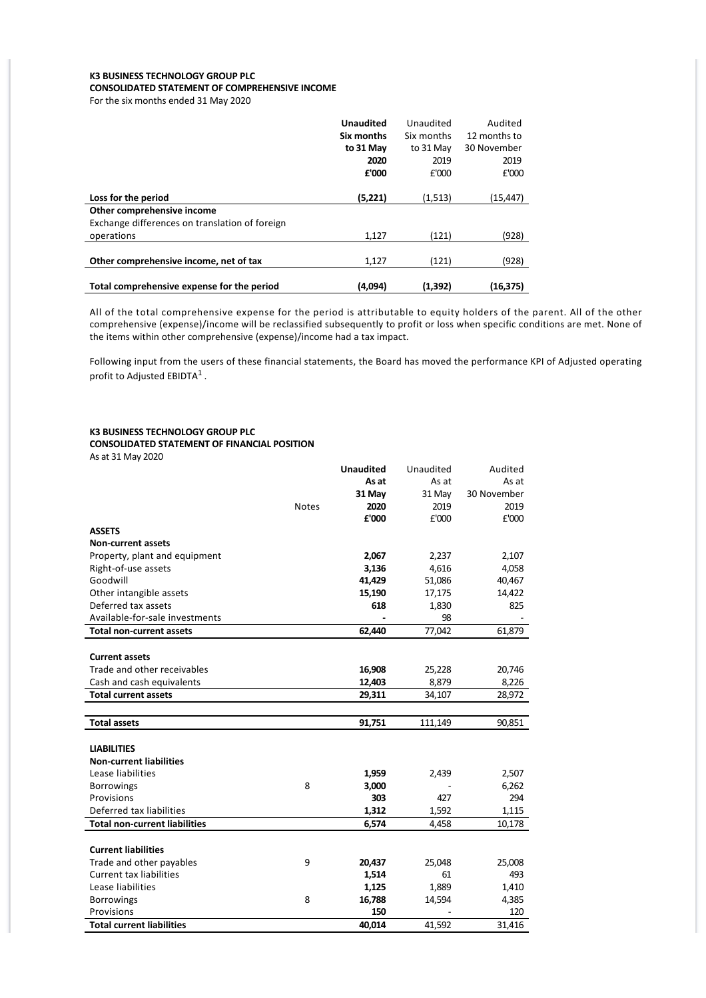# **K3 BUSINESS TECHNOLOGY GROUP PLC CONSOLIDATED STATEMENT OF COMPREHENSIVE INCOME**

For the six months ended 31 May 2020

|                                                | <b>Unaudited</b> | Unaudited  | Audited      |
|------------------------------------------------|------------------|------------|--------------|
|                                                | Six months       | Six months | 12 months to |
|                                                | to 31 May        | to 31 May  | 30 November  |
|                                                | 2020             | 2019       | 2019         |
|                                                | £'000            | £'000      | £'000        |
|                                                |                  |            |              |
| Loss for the period                            | (5,221)          | (1, 513)   | (15,447)     |
| Other comprehensive income                     |                  |            |              |
| Exchange differences on translation of foreign |                  |            |              |
| operations                                     | 1,127            | (121)      | (928)        |
|                                                |                  |            |              |
| Other comprehensive income, net of tax         | 1.127            | (121)      | (928)        |
|                                                |                  |            |              |
| Total comprehensive expense for the period     | (4,094)          | (1,392)    | (16,375)     |

All of the total comprehensive expense for the period is attributable to equity holders of the parent. All of the other comprehensive (expense)/income will be reclassified subsequently to profit or loss when specific conditions are met. None of the items within other comprehensive (expense)/income had a tax impact.

Following input from the users of these financial statements, the Board has moved the performance KPI of Adjusted operating profit to Adjusted EBIDTA $^1$  .

#### **K3 BUSINESS TECHNOLOGY GROUP PLC CONSOLIDATED STATEMENT OF FINANCIAL POSITION** As at 31 May 2020

|                                      |              | <b>Unaudited</b> | Unaudited | Audited     |
|--------------------------------------|--------------|------------------|-----------|-------------|
|                                      |              | As at            | As at     | As at       |
|                                      |              | 31 May           | 31 May    | 30 November |
|                                      | <b>Notes</b> | 2020             | 2019      | 2019        |
|                                      |              | £'000            | £'000     | £'000       |
| <b>ASSETS</b>                        |              |                  |           |             |
| <b>Non-current assets</b>            |              |                  |           |             |
| Property, plant and equipment        |              | 2,067            | 2,237     | 2,107       |
| Right-of-use assets                  |              | 3,136            | 4,616     | 4,058       |
| Goodwill                             |              | 41,429           | 51,086    | 40,467      |
| Other intangible assets              |              | 15,190           | 17,175    | 14,422      |
| Deferred tax assets                  |              | 618              | 1,830     | 825         |
| Available-for-sale investments       |              |                  | 98        |             |
| <b>Total non-current assets</b>      |              | 62,440           | 77,042    | 61,879      |
|                                      |              |                  |           |             |
| <b>Current assets</b>                |              |                  |           |             |
| Trade and other receivables          |              | 16,908           | 25,228    | 20,746      |
| Cash and cash equivalents            |              | 12,403           | 8,879     | 8,226       |
| <b>Total current assets</b>          |              | 29,311           | 34,107    | 28,972      |
|                                      |              |                  |           |             |
| <b>Total assets</b>                  |              | 91,751           | 111,149   | 90,851      |
|                                      |              |                  |           |             |
| <b>LIABILITIES</b>                   |              |                  |           |             |
| <b>Non-current liabilities</b>       |              |                  |           |             |
| Lease liabilities                    |              | 1,959            | 2,439     | 2,507       |
| <b>Borrowings</b>                    | 8            | 3,000            |           | 6,262       |
| Provisions                           |              | 303              | 427       | 294         |
| Deferred tax liabilities             |              | 1,312            | 1,592     | 1,115       |
| <b>Total non-current liabilities</b> |              | 6,574            | 4,458     | 10,178      |
|                                      |              |                  |           |             |
| <b>Current liabilities</b>           |              |                  |           |             |
| Trade and other payables             | 9            | 20,437           | 25,048    | 25,008      |
| <b>Current tax liabilities</b>       |              | 1,514            | 61        | 493         |
| Lease liabilities                    |              | 1,125            | 1,889     | 1,410       |
| <b>Borrowings</b>                    | 8            | 16,788           | 14,594    | 4,385       |
| Provisions                           |              | 150              |           | 120         |
| <b>Total current liabilities</b>     |              | 40,014           | 41,592    | 31,416      |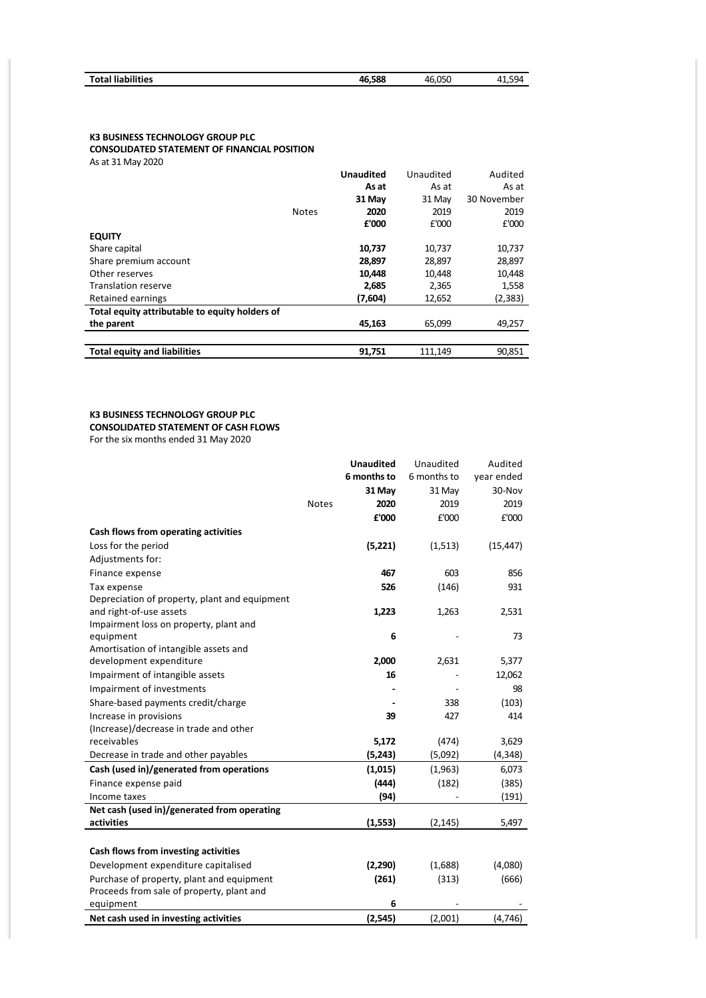| <b>Total liabilities</b> | 46.588 | 46.050 | 594<br>$\Lambda$ <sup>1</sup><br>ر ر.ر. |
|--------------------------|--------|--------|-----------------------------------------|
|                          |        |        |                                         |

# **K3 BUSINESS TECHNOLOGY GROUP PLC**

**CONSOLIDATED STATEMENT OF FINANCIAL POSITION**

As at 31 May 2020

|                                                |              | <b>Unaudited</b> | Unaudited | Audited     |
|------------------------------------------------|--------------|------------------|-----------|-------------|
|                                                |              | As at            | As at     | As at       |
|                                                |              | 31 May           | 31 May    | 30 November |
|                                                | <b>Notes</b> | 2020             | 2019      | 2019        |
|                                                |              | £'000            | £'000     | £'000       |
| <b>EQUITY</b>                                  |              |                  |           |             |
| Share capital                                  |              | 10,737           | 10,737    | 10,737      |
| Share premium account                          |              | 28,897           | 28,897    | 28,897      |
| Other reserves                                 |              | 10,448           | 10,448    | 10,448      |
| <b>Translation reserve</b>                     |              | 2,685            | 2,365     | 1,558       |
| Retained earnings                              |              | (7,604)          | 12,652    | (2, 383)    |
| Total equity attributable to equity holders of |              |                  |           |             |
| the parent                                     |              | 45,163           | 65,099    | 49,257      |
|                                                |              |                  |           |             |
| <b>Total equity and liabilities</b>            |              | 91,751           | 111,149   | 90.851      |

# **K3 BUSINESS TECHNOLOGY GROUP PLC CONSOLIDATED STATEMENT OF CASH FLOWS**

For the six months ended 31 May 2020

|                                               |              | <b>Unaudited</b> | Unaudited   | Audited    |
|-----------------------------------------------|--------------|------------------|-------------|------------|
|                                               |              | 6 months to      | 6 months to | year ended |
|                                               |              | 31 May           | 31 May      | 30-Nov     |
|                                               | <b>Notes</b> | 2020             | 2019        | 2019       |
|                                               |              | £'000            | £'000       | £'000      |
| Cash flows from operating activities          |              |                  |             |            |
| Loss for the period                           |              | (5,221)          | (1, 513)    | (15, 447)  |
| Adjustments for:                              |              |                  |             |            |
| Finance expense                               |              | 467              | 603         | 856        |
| Tax expense                                   |              | 526              | (146)       | 931        |
| Depreciation of property, plant and equipment |              |                  |             |            |
| and right-of-use assets                       |              | 1,223            | 1,263       | 2,531      |
| Impairment loss on property, plant and        |              |                  |             |            |
| equipment                                     |              | 6                |             | 73         |
| Amortisation of intangible assets and         |              |                  |             |            |
| development expenditure                       |              | 2,000            | 2,631       | 5,377      |
| Impairment of intangible assets               |              | 16               |             | 12,062     |
| Impairment of investments                     |              |                  |             | 98         |
| Share-based payments credit/charge            |              |                  | 338         | (103)      |
| Increase in provisions                        |              | 39               | 427         | 414        |
| (Increase)/decrease in trade and other        |              |                  |             |            |
| receivables                                   |              | 5,172            | (474)       | 3,629      |
| Decrease in trade and other payables          |              | (5, 243)         | (5,092)     | (4, 348)   |
| Cash (used in)/generated from operations      |              | (1,015)          | (1,963)     | 6,073      |
| Finance expense paid                          |              | (444)            | (182)       | (385)      |
| Income taxes                                  |              | (94)             |             | (191)      |
| Net cash (used in)/generated from operating   |              |                  |             |            |
| activities                                    |              | (1, 553)         | (2, 145)    | 5,497      |
|                                               |              |                  |             |            |
| Cash flows from investing activities          |              |                  |             |            |
| Development expenditure capitalised           |              | (2,290)          | (1,688)     | (4,080)    |
| Purchase of property, plant and equipment     |              | (261)            | (313)       | (666)      |
| Proceeds from sale of property, plant and     |              |                  |             |            |
| equipment                                     |              | 6                |             |            |
| Net cash used in investing activities         |              | (2, 545)         | (2,001)     | (4, 746)   |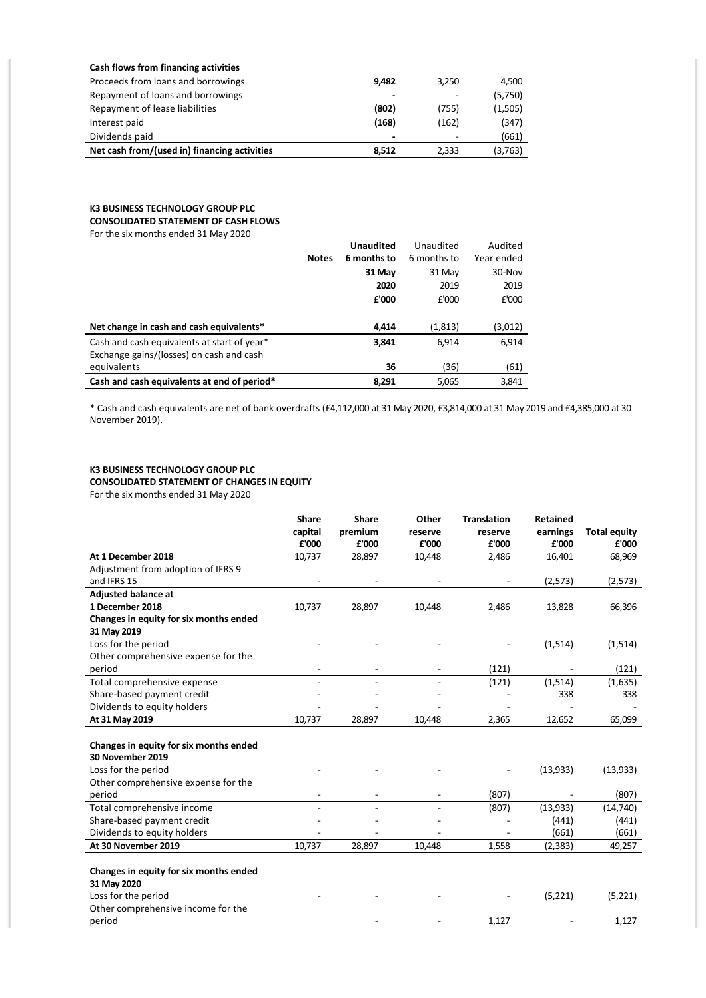| Cash flows from financing activities         |       |       |         |
|----------------------------------------------|-------|-------|---------|
| Proceeds from loans and borrowings           | 9,482 | 3,250 | 4,500   |
| Repayment of loans and borrowings            | -     |       | (5,750) |
| Repayment of lease liabilities               | (802) | (755) | (1,505) |
| Interest paid                                | (168) | (162) | (347)   |
| Dividends paid                               | -     |       | (661)   |
| Net cash from/(used in) financing activities | 8.512 | 2.333 | (3,763) |
|                                              |       |       |         |

# **K3 BUSINESS TECHNOLOGY GROUP PLC**

**CONSOLIDATED STATEMENT OF CASH FLOWS**

For the six months ended 31 May 2020

|                                             |              | <b>Unaudited</b> | Unaudited   | Audited    |
|---------------------------------------------|--------------|------------------|-------------|------------|
|                                             | <b>Notes</b> | 6 months to      | 6 months to | Year ended |
|                                             |              | 31 May           | 31 May      | 30-Nov     |
|                                             |              | 2020             | 2019        | 2019       |
|                                             |              | £'000            | £'000       | £'000      |
|                                             |              |                  |             |            |
| Net change in cash and cash equivalents*    |              | 4.414            | (1, 813)    | (3,012)    |
| Cash and cash equivalents at start of year* |              | 3,841            | 6.914       | 6,914      |
| Exchange gains/(losses) on cash and cash    |              |                  |             |            |
| equivalents                                 |              | 36               | (36)        | (61)       |
| Cash and cash equivalents at end of period* |              | 8.291            | 5,065       | 3.841      |

\* Cash and cash equivalents are net of bank overdrafts (£4,112,000 at 31 May 2020, £3,814,000 at 31 May 2019 and £4,385,000 at 30 November 2019).

### **K3 BUSINESS TECHNOLOGY GROUP PLC**

**CONSOLIDATED STATEMENT OF CHANGES IN EQUITY**

For the six months ended 31 May 2020

|                                                            | <b>Share</b><br>capital<br>£'000 | <b>Share</b><br>premium<br>£'000 | Other<br>reserve<br>£'000 | <b>Translation</b><br>reserve<br>£'000 | <b>Retained</b><br>earnings<br>£'000 | <b>Total equity</b><br>£'000 |
|------------------------------------------------------------|----------------------------------|----------------------------------|---------------------------|----------------------------------------|--------------------------------------|------------------------------|
| At 1 December 2018                                         | 10,737                           | 28,897                           | 10,448                    | 2,486                                  | 16,401                               | 68,969                       |
| Adjustment from adoption of IFRS 9                         |                                  |                                  |                           |                                        |                                      |                              |
| and IFRS 15                                                |                                  |                                  |                           |                                        | (2, 573)                             | (2,573)                      |
| <b>Adjusted balance at</b>                                 |                                  |                                  |                           |                                        |                                      |                              |
| 1 December 2018                                            | 10,737                           | 28,897                           | 10,448                    | 2,486                                  | 13,828                               | 66,396                       |
| Changes in equity for six months ended                     |                                  |                                  |                           |                                        |                                      |                              |
| 31 May 2019                                                |                                  |                                  |                           |                                        |                                      |                              |
| Loss for the period                                        |                                  |                                  |                           |                                        | (1,514)                              | (1,514)                      |
| Other comprehensive expense for the                        |                                  |                                  |                           |                                        |                                      |                              |
| period                                                     | $\overline{\phantom{a}}$         |                                  | $\overline{\phantom{a}}$  | (121)                                  | $\overline{\phantom{a}}$             | (121)                        |
| Total comprehensive expense                                |                                  |                                  |                           | (121)                                  | (1, 514)                             | (1,635)                      |
| Share-based payment credit                                 |                                  |                                  |                           |                                        | 338                                  | 338                          |
| Dividends to equity holders                                |                                  |                                  |                           |                                        |                                      |                              |
| At 31 May 2019                                             | 10,737                           | 28,897                           | 10,448                    | 2,365                                  | 12,652                               | 65,099                       |
| Changes in equity for six months ended<br>30 November 2019 |                                  |                                  |                           |                                        |                                      |                              |
| Loss for the period                                        |                                  |                                  |                           |                                        | (13,933)                             | (13, 933)                    |
| Other comprehensive expense for the                        |                                  |                                  |                           |                                        |                                      |                              |
| period                                                     |                                  |                                  |                           | (807)                                  |                                      | (807)                        |
| Total comprehensive income                                 |                                  |                                  |                           | (807)                                  | (13,933)                             | (14, 740)                    |
| Share-based payment credit                                 |                                  |                                  |                           |                                        | (441)                                | (441)                        |
| Dividends to equity holders                                |                                  |                                  |                           |                                        | (661)                                | (661)                        |
| At 30 November 2019                                        | 10,737                           | 28,897                           | 10,448                    | 1,558                                  | (2, 383)                             | 49,257                       |
| Changes in equity for six months ended<br>31 May 2020      |                                  |                                  |                           |                                        |                                      |                              |
| Loss for the period                                        |                                  |                                  |                           |                                        | (5,221)                              | (5,221)                      |
| Other comprehensive income for the                         |                                  |                                  |                           |                                        |                                      |                              |
| period                                                     |                                  |                                  |                           | 1,127                                  |                                      | 1,127                        |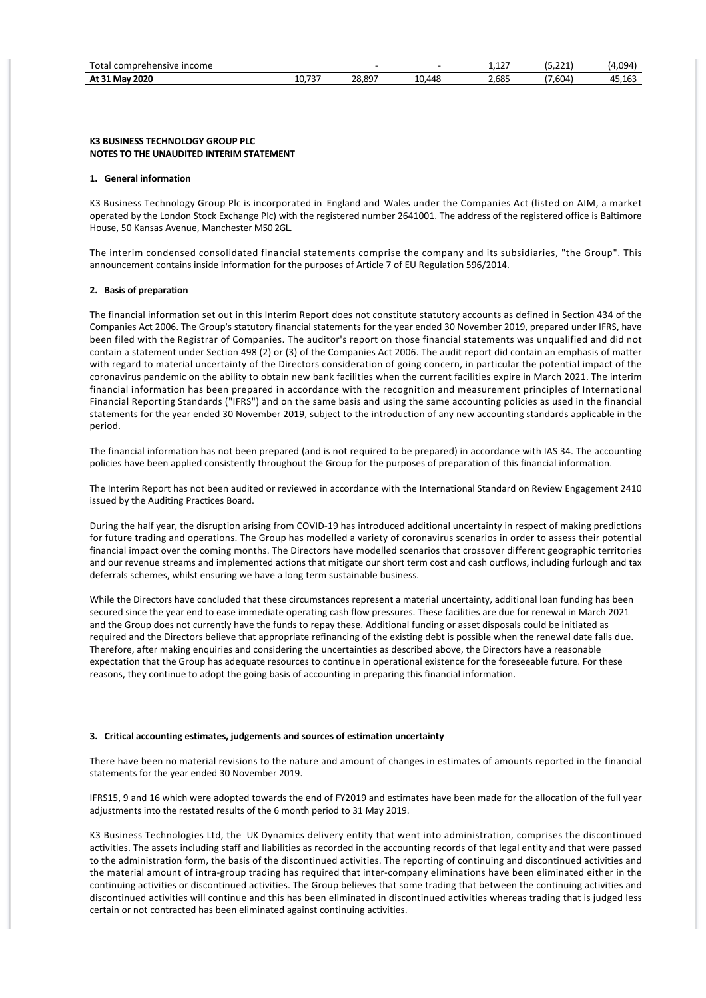| Total<br><br>mprehensive income<br>con |                      |                           |                                               | $ -$<br>. <i>.</i> | $\sim$<br>. | 5094،                 |
|----------------------------------------|----------------------|---------------------------|-----------------------------------------------|--------------------|-------------|-----------------------|
| 2020<br>At 31<br>Ma                    | $\sim$<br>10.<br>ر ر | 28.807<br>$\sim$<br>20.02 | $\overline{AB}$<br>$\overline{ }$<br>TL.<br>∸ | 2.685              | .604        | 10.402<br>л<br>15.16. |

#### **K3 BUSINESS TECHNOLOGY GROUP PLC NOTES TO THE UNAUDITED INTERIM STATEMENT**

#### **1. General information**

K3 Business Technology Group Plc is incorporated in England and Wales under the Companies Act (listed on AIM, a market operated by the London Stock Exchange Plc) with the registered number 2641001. The address of the registered office is Baltimore House, 50 Kansas Avenue, Manchester M50 2GL.

The interim condensed consolidated financial statements comprise the company and its subsidiaries, "the Group". This announcement contains inside information for the purposes of Article 7 of EU Regulation 596/2014.

#### **2. Basis of preparation**

The financial information set out in this Interim Report does not constitute statutory accounts as defined in Section 434 of the Companies Act 2006. The Group's statutory financial statements for the year ended 30 November 2019, prepared under IFRS, have been filed with the Registrar of Companies. The auditor's report on those financial statements was unqualified and did not contain a statement under Section 498 (2) or (3) of the Companies Act 2006. The audit report did contain an emphasis of matter with regard to material uncertainty of the Directors consideration of going concern, in particular the potential impact of the coronavirus pandemic on the ability to obtain new bank facilities when the current facilities expire in March 2021. The interim financial information has been prepared in accordance with the recognition and measurement principles of International Financial Reporting Standards ("IFRS") and on the same basis and using the same accounting policies as used in the financial statements for the year ended 30 November 2019, subject to the introduction of any new accounting standards applicable in the period.

The financial information has not been prepared (and is not required to be prepared) in accordance with IAS 34. The accounting policies have been applied consistently throughout the Group for the purposes of preparation of this financial information.

The Interim Report has not been audited or reviewed in accordance with the International Standard on Review Engagement 2410 issued by the Auditing Practices Board.

During the half year, the disruption arising from COVID‐19 has introduced additional uncertainty in respect of making predictions for future trading and operations. The Group has modelled a variety of coronavirus scenarios in order to assess their potential financial impact over the coming months. The Directors have modelled scenarios that crossover different geographic territories and our revenue streams and implemented actions that mitigate our short term cost and cash outflows, including furlough and tax deferrals schemes, whilst ensuring we have a long term sustainable business.

While the Directors have concluded that these circumstances represent a material uncertainty, additional loan funding has been secured since the year end to ease immediate operating cash flow pressures. These facilities are due for renewal in March 2021 and the Group does not currently have the funds to repay these. Additional funding or asset disposals could be initiated as required and the Directors believe that appropriate refinancing of the existing debt is possible when the renewal date falls due. Therefore, after making enquiries and considering the uncertainties as described above, the Directors have a reasonable expectation that the Group has adequate resources to continue in operational existence for the foreseeable future. For these reasons, they continue to adopt the going basis of accounting in preparing this financial information.

#### **3. Critical accounting estimates, judgements and sources of estimation uncertainty**

There have been no material revisions to the nature and amount of changes in estimates of amounts reported in the financial statements for the year ended 30 November 2019.

IFRS15, 9 and 16 which were adopted towards the end of FY2019 and estimates have been made for the allocation of the full year adjustments into the restated results of the 6 month period to 31 May 2019.

K3 Business Technologies Ltd, the UK Dynamics delivery entity that went into administration, comprises the discontinued activities. The assets including staff and liabilities as recorded in the accounting records of that legal entity and that were passed to the administration form, the basis of the discontinued activities. The reporting of continuing and discontinued activities and the material amount of intra‐group trading has required that inter‐company eliminations have been eliminated either in the continuing activities or discontinued activities. The Group believes that some trading that between the continuing activities and discontinued activities will continue and this has been eliminated in discontinued activities whereas trading that is judged less certain or not contracted has been eliminated against continuing activities.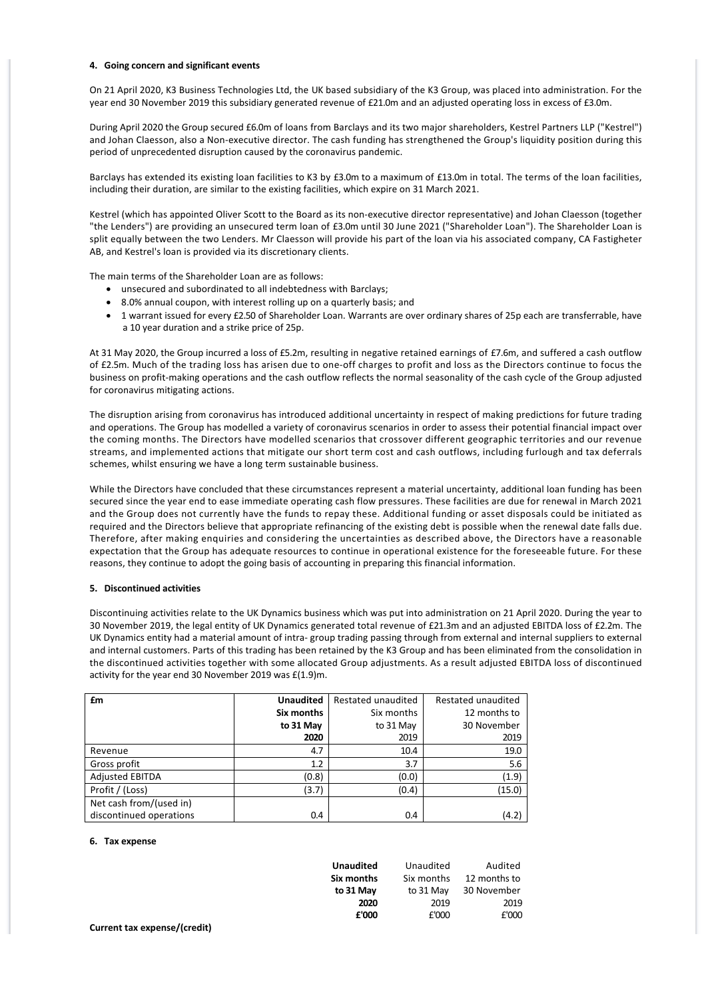#### **4. Going concern and significant events**

On 21 April 2020, K3 Business Technologies Ltd, the UK based subsidiary of the K3 Group, was placed into administration. For the year end 30 November 2019 this subsidiary generated revenue of £21.0m and an adjusted operating loss in excess of £3.0m.

During April 2020 the Group secured £6.0m of loans from Barclays and its two major shareholders, Kestrel Partners LLP ("Kestrel") and Johan Claesson, also a Non‐executive director. The cash funding has strengthened the Group's liquidity position during this period of unprecedented disruption caused by the coronavirus pandemic.

Barclays has extended its existing loan facilities to K3 by £3.0m to a maximum of £13.0m in total. The terms of the loan facilities, including their duration, are similar to the existing facilities, which expire on 31 March 2021.

Kestrel (which has appointed Oliver Scott to the Board as its non‐executive director representative) and Johan Claesson (together "the Lenders") are providing an unsecured term loan of £3.0m until 30 June 2021 ("Shareholder Loan"). The Shareholder Loan is split equally between the two Lenders. Mr Claesson will provide his part of the loan via his associated company, CA Fastigheter AB, and Kestrel's loan is provided via its discretionary clients.

The main terms of the Shareholder Loan are as follows:

- · unsecured and subordinated to all indebtedness with Barclays;
- · 8.0% annual coupon, with interest rolling up on a quarterly basis; and
- · 1 warrant issued for every £2.50 of Shareholder Loan. Warrants are over ordinary shares of 25p each are transferrable, have a 10 year duration and a strike price of 25p.

At 31 May 2020, the Group incurred a loss of £5.2m, resulting in negative retained earnings of £7.6m, and suffered a cash outflow of £2.5m. Much of the trading loss has arisen due to one‐off charges to profit and loss as the Directors continue to focus the business on profit‐making operations and the cash outflow reflects the normal seasonality of the cash cycle of the Group adjusted for coronavirus mitigating actions.

The disruption arising from coronavirus has introduced additional uncertainty in respect of making predictions for future trading and operations. The Group has modelled a variety of coronavirus scenarios in order to assess their potential financial impact over the coming months. The Directors have modelled scenarios that crossover different geographic territories and our revenue streams, and implemented actions that mitigate our short term cost and cash outflows, including furlough and tax deferrals schemes, whilst ensuring we have a long term sustainable business.

While the Directors have concluded that these circumstances represent a material uncertainty, additional loan funding has been secured since the year end to ease immediate operating cash flow pressures. These facilities are due for renewal in March 2021 and the Group does not currently have the funds to repay these. Additional funding or asset disposals could be initiated as required and the Directors believe that appropriate refinancing of the existing debt is possible when the renewal date falls due. Therefore, after making enquiries and considering the uncertainties as described above, the Directors have a reasonable expectation that the Group has adequate resources to continue in operational existence for the foreseeable future. For these reasons, they continue to adopt the going basis of accounting in preparing this financial information.

# **5. Discontinued activities**

Discontinuing activities relate to the UK Dynamics business which was put into administration on 21 April 2020. During the year to 30 November 2019, the legal entity of UK Dynamics generated total revenue of £21.3m and an adjusted EBITDA loss of £2.2m. The UK Dynamics entity had a material amount of intra‐ group trading passing through from external and internal suppliers to external and internal customers. Parts of this trading has been retained by the K3 Group and has been eliminated from the consolidation in the discontinued activities together with some allocated Group adjustments. As a result adjusted EBITDA loss of discontinued activity for the year end 30 November 2019 was £(1.9)m.

| £m                      | <b>Unaudited</b> | Restated unaudited | Restated unaudited |
|-------------------------|------------------|--------------------|--------------------|
|                         | Six months       | Six months         | 12 months to       |
|                         | to 31 May        | to 31 May          | 30 November        |
|                         | 2020             | 2019               | 2019               |
| Revenue                 | 4.7              | 10.4               | 19.0               |
| Gross profit            | 1.2              | 3.7                | 5.6                |
| <b>Adjusted EBITDA</b>  | (0.8)            | (0.0)              | (1.9)              |
| Profit / (Loss)         | (3.7)            | (0.4)              | (15.0)             |
| Net cash from/(used in) |                  |                    |                    |
| discontinued operations | 0.4              | 0.4                | (4.2)              |

#### **6. Tax expense**

| <b>Unaudited</b> | Unaudited  | Audited      |
|------------------|------------|--------------|
| Six months       | Six months | 12 months to |
| to 31 May        | to 31 May  | 30 November  |
| 2020             | 2019       | 2019         |
| £'000            | £'000      | £'000        |
|                  |            |              |

#### **Current tax expense/(credit)**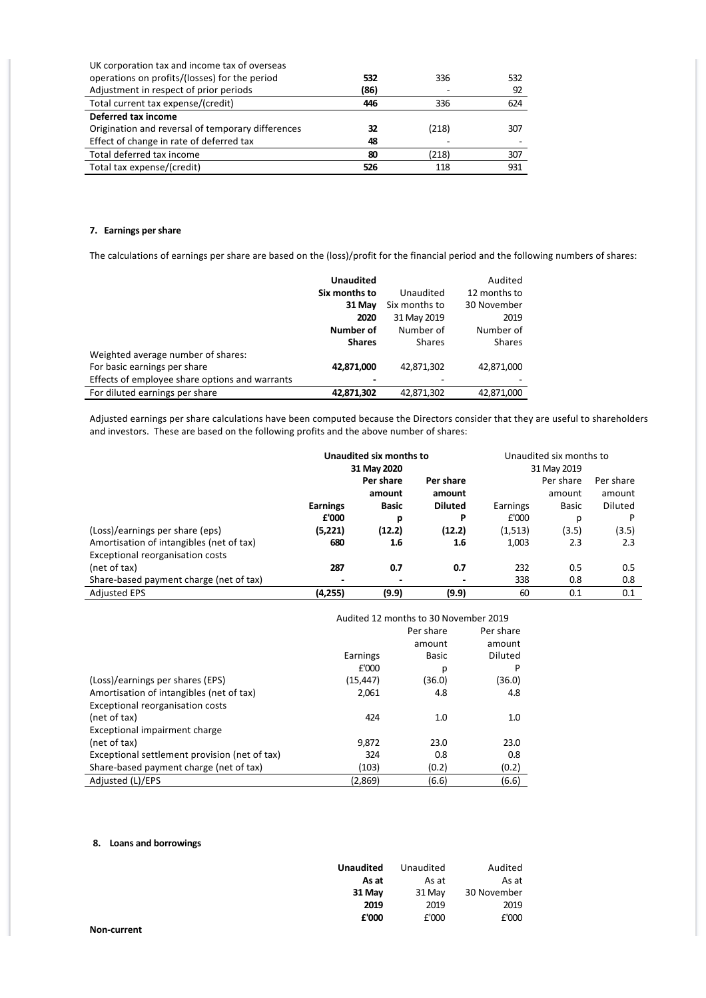| UK corporation tax and income tax of overseas     |      |       |     |
|---------------------------------------------------|------|-------|-----|
| operations on profits/(losses) for the period     | 532  | 336   | 532 |
| Adjustment in respect of prior periods            | (86) |       | 92  |
| Total current tax expense/(credit)                | 446  | 336   | 624 |
| Deferred tax income                               |      |       |     |
| Origination and reversal of temporary differences | 32   | (218) | 307 |
| Effect of change in rate of deferred tax          | 48   |       |     |
| Total deferred tax income                         | 80   | (218) | 307 |
| Total tax expense/(credit)                        | 526  | 118   | 931 |

# **7. Earnings per share**

The calculations of earnings per share are based on the (loss)/profit for the financial period and the following numbers of shares:

|                                                | <b>Unaudited</b> |               | Audited       |
|------------------------------------------------|------------------|---------------|---------------|
|                                                | Six months to    | Unaudited     | 12 months to  |
|                                                | 31 May           | Six months to | 30 November   |
|                                                | 2020             | 31 May 2019   | 2019          |
|                                                | Number of        | Number of     | Number of     |
|                                                | <b>Shares</b>    | <b>Shares</b> | <b>Shares</b> |
| Weighted average number of shares:             |                  |               |               |
| For basic earnings per share                   | 42,871,000       | 42,871,302    | 42,871,000    |
| Effects of employee share options and warrants |                  |               |               |
| For diluted earnings per share                 | 42,871,302       | 42,871,302    | 42,871,000    |

Adjusted earnings per share calculations have been computed because the Directors consider that they are useful to shareholders and investors. These are based on the following profits and the above number of shares:

|                                          | Unaudited six months to  |              |                | Unaudited six months to |        |                |
|------------------------------------------|--------------------------|--------------|----------------|-------------------------|--------|----------------|
|                                          | 31 May 2020              |              | 31 May 2019    |                         |        |                |
|                                          | Per share<br>Per share   |              |                | Per share               |        | Per share      |
|                                          |                          | amount       | amount         |                         | amount | amount         |
|                                          | <b>Earnings</b>          | <b>Basic</b> | <b>Diluted</b> | Earnings                | Basic  | <b>Diluted</b> |
|                                          | £'000                    | р            | P              | £'000                   | р      | P              |
| (Loss)/earnings per share (eps)          | (5,221)                  | (12.2)       | (12.2)         | (1, 513)                | (3.5)  | (3.5)          |
| Amortisation of intangibles (net of tax) | 680                      | 1.6          | 1.6            | 1,003                   | 2.3    | 2.3            |
| Exceptional reorganisation costs         |                          |              |                |                         |        |                |
| (net of tax)                             | 287                      | 0.7          | 0.7            | 232                     | 0.5    | 0.5            |
| Share-based payment charge (net of tax)  | $\overline{\phantom{a}}$ | ٠            |                | 338                     | 0.8    | 0.8            |
| <b>Adjusted EPS</b>                      | (4,255)                  | (9.9)        | (9.9)          | 60                      | 0.1    | 0.1            |

|                                               | Audited 12 months to 30 November 2019 |           |           |
|-----------------------------------------------|---------------------------------------|-----------|-----------|
|                                               |                                       | Per share | Per share |
|                                               |                                       | amount    | amount    |
|                                               | Earnings                              | Basic     | Diluted   |
|                                               | £'000                                 | р         | P         |
| (Loss)/earnings per shares (EPS)              | (15, 447)                             | (36.0)    | (36.0)    |
| Amortisation of intangibles (net of tax)      | 2,061                                 | 4.8       | 4.8       |
| Exceptional reorganisation costs              |                                       |           |           |
| (net of tax)                                  | 424                                   | 1.0       | 1.0       |
| Exceptional impairment charge                 |                                       |           |           |
| (net of tax)                                  | 9,872                                 | 23.0      | 23.0      |
| Exceptional settlement provision (net of tax) | 324                                   | 0.8       | 0.8       |
| Share-based payment charge (net of tax)       | (103)                                 | (0.2)     | (0.2)     |
| Adjusted (L)/EPS                              | (2,869)                               | (6.6)     | (6.6)     |

# **8. Loans and borrowings**

|             | <b>Unaudited</b> | Unaudited | Audited     |
|-------------|------------------|-----------|-------------|
|             | As at            | As at     | As at       |
|             | 31 May           | 31 May    | 30 November |
|             | 2019             | 2019      | 2019        |
|             | £'000            | £'000     | £'000       |
| Non-current |                  |           |             |